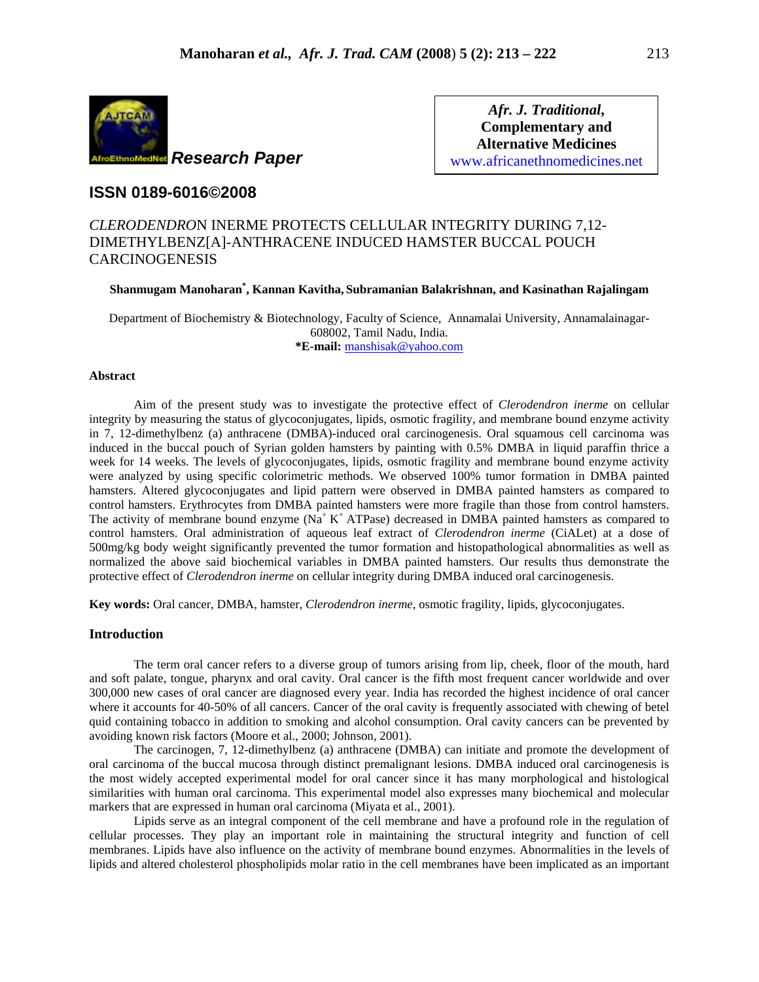

*Afr. J. Traditional***, Complementary and Alternative Medicines**  www.africanethnomedicines.net

# **ISSN 0189-6016©2008**

# *CLERODENDRO*N INERME PROTECTS CELLULAR INTEGRITY DURING 7,12- DIMETHYLBENZ[A]-ANTHRACENE INDUCED HAMSTER BUCCAL POUCH CARCINOGENESIS

## **Shanmugam Manoharan\* , Kannan Kavitha, Subramanian Balakrishnan, and Kasinathan Rajalingam**

Department of Biochemistry & Biotechnology, Faculty of Science, Annamalai University, Annamalainagar-608002, Tamil Nadu, India. **\*E-mail:** manshisak@yahoo.com

#### **Abstract**

Aim of the present study was to investigate the protective effect of *Clerodendron inerme* on cellular integrity by measuring the status of glycoconjugates, lipids, osmotic fragility, and membrane bound enzyme activity in 7, 12-dimethylbenz (a) anthracene (DMBA)-induced oral carcinogenesis. Oral squamous cell carcinoma was induced in the buccal pouch of Syrian golden hamsters by painting with 0.5% DMBA in liquid paraffin thrice a week for 14 weeks. The levels of glycoconjugates, lipids, osmotic fragility and membrane bound enzyme activity were analyzed by using specific colorimetric methods. We observed 100% tumor formation in DMBA painted hamsters. Altered glycoconjugates and lipid pattern were observed in DMBA painted hamsters as compared to control hamsters. Erythrocytes from DMBA painted hamsters were more fragile than those from control hamsters. The activity of membrane bound enzyme  $(Na^+ K^+ ATPase)$  decreased in DMBA painted hamsters as compared to control hamsters. Oral administration of aqueous leaf extract of *Clerodendron inerme* (CiALet) at a dose of 500mg/kg body weight significantly prevented the tumor formation and histopathological abnormalities as well as normalized the above said biochemical variables in DMBA painted hamsters. Our results thus demonstrate the protective effect of *Clerodendron inerme* on cellular integrity during DMBA induced oral carcinogenesis.

**Key words:** Oral cancer, DMBA, hamster, *Clerodendron inerme*, osmotic fragility, lipids, glycoconjugates.

## **Introduction**

The term oral cancer refers to a diverse group of tumors arising from lip, cheek, floor of the mouth, hard and soft palate, tongue, pharynx and oral cavity. Oral cancer is the fifth most frequent cancer worldwide and over 300,000 new cases of oral cancer are diagnosed every year. India has recorded the highest incidence of oral cancer where it accounts for 40-50% of all cancers. Cancer of the oral cavity is frequently associated with chewing of betel quid containing tobacco in addition to smoking and alcohol consumption. Oral cavity cancers can be prevented by avoiding known risk factors (Moore et al., 2000; Johnson, 2001).

The carcinogen, 7, 12-dimethylbenz (a) anthracene (DMBA) can initiate and promote the development of oral carcinoma of the buccal mucosa through distinct premalignant lesions. DMBA induced oral carcinogenesis is the most widely accepted experimental model for oral cancer since it has many morphological and histological similarities with human oral carcinoma. This experimental model also expresses many biochemical and molecular markers that are expressed in human oral carcinoma (Miyata et al., 2001).

Lipids serve as an integral component of the cell membrane and have a profound role in the regulation of cellular processes. They play an important role in maintaining the structural integrity and function of cell membranes. Lipids have also influence on the activity of membrane bound enzymes. Abnormalities in the levels of lipids and altered cholesterol phospholipids molar ratio in the cell membranes have been implicated as an important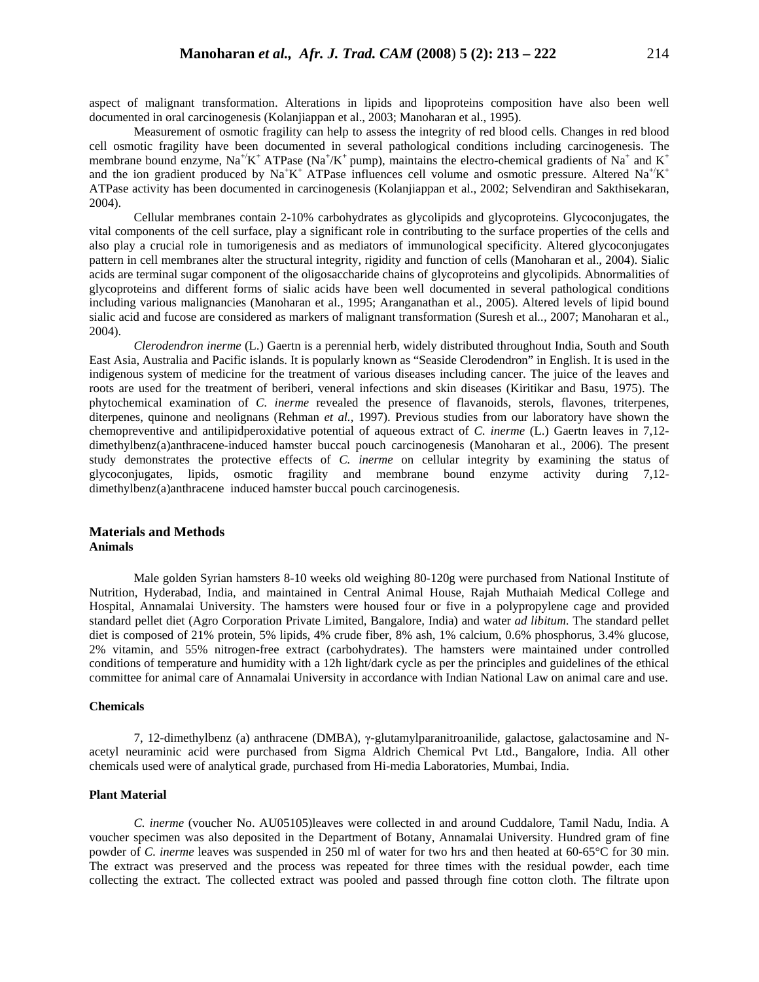aspect of malignant transformation. Alterations in lipids and lipoproteins composition have also been well documented in oral carcinogenesis (Kolanjiappan et al., 2003; Manoharan et al., 1995).

Measurement of osmotic fragility can help to assess the integrity of red blood cells. Changes in red blood cell osmotic fragility have been documented in several pathological conditions including carcinogenesis. The membrane bound enzyme,  $Na^{+}/K^{+}$  ATPase (Na<sup>+</sup>/K<sup>+</sup> pump), maintains the electro-chemical gradients of Na<sup>+</sup> and K<sup>+</sup> and the ion gradient produced by  $Na^{+}K^{+}$  ATPase influences cell volume and osmotic pressure. Altered  $Na^{+}K^{+}$ ATPase activity has been documented in carcinogenesis (Kolanjiappan et al., 2002; Selvendiran and Sakthisekaran, 2004).

Cellular membranes contain 2-10% carbohydrates as glycolipids and glycoproteins. Glycoconjugates, the vital components of the cell surface, play a significant role in contributing to the surface properties of the cells and also play a crucial role in tumorigenesis and as mediators of immunological specificity. Altered glycoconjugates pattern in cell membranes alter the structural integrity, rigidity and function of cells (Manoharan et al.*,* 2004). Sialic acids are terminal sugar component of the oligosaccharide chains of glycoproteins and glycolipids. Abnormalities of glycoproteins and different forms of sialic acids have been well documented in several pathological conditions including various malignancies (Manoharan et al., 1995; Aranganathan et al., 2005). Altered levels of lipid bound sialic acid and fucose are considered as markers of malignant transformation (Suresh et al*..,* 2007; Manoharan et al., 2004).

*Clerodendron inerme* (L.) Gaertn is a perennial herb, widely distributed throughout India, South and South East Asia, Australia and Pacific islands. It is popularly known as "Seaside Clerodendron" in English. It is used in the indigenous system of medicine for the treatment of various diseases including cancer. The juice of the leaves and roots are used for the treatment of beriberi, veneral infections and skin diseases (Kiritikar and Basu, 1975). The phytochemical examination of *C. inerme* revealed the presence of flavanoids, sterols, flavones, triterpenes, diterpenes, quinone and neolignans (Rehman *et al.,* 1997). Previous studies from our laboratory have shown the chemopreventive and antilipidperoxidative potential of aqueous extract of *C. inerme* (L.) Gaertn leaves in 7,12 dimethylbenz(a)anthracene-induced hamster buccal pouch carcinogenesis (Manoharan et al., 2006). The present study demonstrates the protective effects of *C. inerme* on cellular integrity by examining the status of glycoconjugates, lipids, osmotic fragility and membrane bound enzyme activity during 7,12 dimethylbenz(a)anthracene induced hamster buccal pouch carcinogenesis.

## **Materials and Methods Animals**

Male golden Syrian hamsters 8-10 weeks old weighing 80-120g were purchased from National Institute of Nutrition, Hyderabad, India, and maintained in Central Animal House, Rajah Muthaiah Medical College and Hospital, Annamalai University. The hamsters were housed four or five in a polypropylene cage and provided standard pellet diet (Agro Corporation Private Limited, Bangalore, India) and water *ad libitum*. The standard pellet diet is composed of 21% protein, 5% lipids, 4% crude fiber, 8% ash, 1% calcium, 0.6% phosphorus, 3.4% glucose, 2% vitamin, and 55% nitrogen-free extract (carbohydrates). The hamsters were maintained under controlled conditions of temperature and humidity with a 12h light/dark cycle as per the principles and guidelines of the ethical committee for animal care of Annamalai University in accordance with Indian National Law on animal care and use.

#### **Chemicals**

7, 12-dimethylbenz (a) anthracene (DMBA), γ-glutamylparanitroanilide, galactose, galactosamine and Nacetyl neuraminic acid were purchased from Sigma Aldrich Chemical Pvt Ltd., Bangalore, India. All other chemicals used were of analytical grade, purchased from Hi-media Laboratories, Mumbai, India.

#### **Plant Material**

*C. inerme* (voucher No. AU05105)leaves were collected in and around Cuddalore, Tamil Nadu, India. A voucher specimen was also deposited in the Department of Botany, Annamalai University. Hundred gram of fine powder of *C. inerme* leaves was suspended in 250 ml of water for two hrs and then heated at 60-65°C for 30 min. The extract was preserved and the process was repeated for three times with the residual powder, each time collecting the extract. The collected extract was pooled and passed through fine cotton cloth. The filtrate upon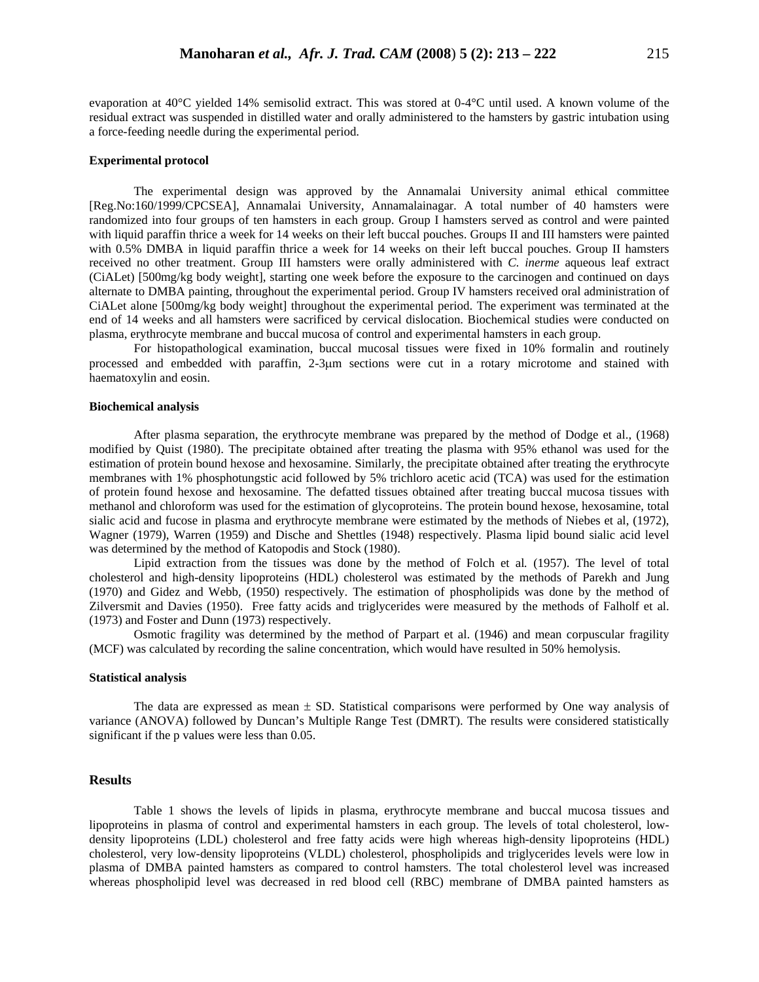evaporation at 40°C yielded 14% semisolid extract. This was stored at 0-4°C until used. A known volume of the residual extract was suspended in distilled water and orally administered to the hamsters by gastric intubation using a force-feeding needle during the experimental period.

#### **Experimental protocol**

The experimental design was approved by the Annamalai University animal ethical committee [Reg.No:160/1999/CPCSEA], Annamalai University, Annamalainagar. A total number of 40 hamsters were randomized into four groups of ten hamsters in each group. Group I hamsters served as control and were painted with liquid paraffin thrice a week for 14 weeks on their left buccal pouches. Groups II and III hamsters were painted with 0.5% DMBA in liquid paraffin thrice a week for 14 weeks on their left buccal pouches. Group II hamsters received no other treatment. Group III hamsters were orally administered with *C. inerme* aqueous leaf extract (CiALet) [500mg/kg body weight], starting one week before the exposure to the carcinogen and continued on days alternate to DMBA painting, throughout the experimental period. Group IV hamsters received oral administration of CiALet alone [500mg/kg body weight] throughout the experimental period. The experiment was terminated at the end of 14 weeks and all hamsters were sacrificed by cervical dislocation. Biochemical studies were conducted on plasma, erythrocyte membrane and buccal mucosa of control and experimental hamsters in each group.

For histopathological examination, buccal mucosal tissues were fixed in 10% formalin and routinely processed and embedded with paraffin, 2-3µm sections were cut in a rotary microtome and stained with haematoxylin and eosin.

#### **Biochemical analysis**

After plasma separation, the erythrocyte membrane was prepared by the method of Dodge et al.*,* (1968) modified by Quist (1980). The precipitate obtained after treating the plasma with 95% ethanol was used for the estimation of protein bound hexose and hexosamine. Similarly, the precipitate obtained after treating the erythrocyte membranes with 1% phosphotungstic acid followed by 5% trichloro acetic acid (TCA) was used for the estimation of protein found hexose and hexosamine. The defatted tissues obtained after treating buccal mucosa tissues with methanol and chloroform was used for the estimation of glycoproteins. The protein bound hexose, hexosamine, total sialic acid and fucose in plasma and erythrocyte membrane were estimated by the methods of Niebes et al, (1972), Wagner (1979), Warren (1959) and Dische and Shettles (1948) respectively. Plasma lipid bound sialic acid level was determined by the method of Katopodis and Stock (1980).

Lipid extraction from the tissues was done by the method of Folch et al*.* (1957). The level of total cholesterol and high-density lipoproteins (HDL) cholesterol was estimated by the methods of Parekh and Jung (1970) and Gidez and Webb, (1950) respectively. The estimation of phospholipids was done by the method of Zilversmit and Davies (1950). Free fatty acids and triglycerides were measured by the methods of Falholf et al. (1973) and Foster and Dunn (1973) respectively.

Osmotic fragility was determined by the method of Parpart et al. (1946) and mean corpuscular fragility (MCF) was calculated by recording the saline concentration, which would have resulted in 50% hemolysis.

#### **Statistical analysis**

The data are expressed as mean  $\pm$  SD. Statistical comparisons were performed by One way analysis of variance (ANOVA) followed by Duncan's Multiple Range Test (DMRT). The results were considered statistically significant if the p values were less than 0.05.

## **Results**

Table 1 shows the levels of lipids in plasma, erythrocyte membrane and buccal mucosa tissues and lipoproteins in plasma of control and experimental hamsters in each group. The levels of total cholesterol, lowdensity lipoproteins (LDL) cholesterol and free fatty acids were high whereas high-density lipoproteins (HDL) cholesterol, very low-density lipoproteins (VLDL) cholesterol, phospholipids and triglycerides levels were low in plasma of DMBA painted hamsters as compared to control hamsters. The total cholesterol level was increased whereas phospholipid level was decreased in red blood cell (RBC) membrane of DMBA painted hamsters as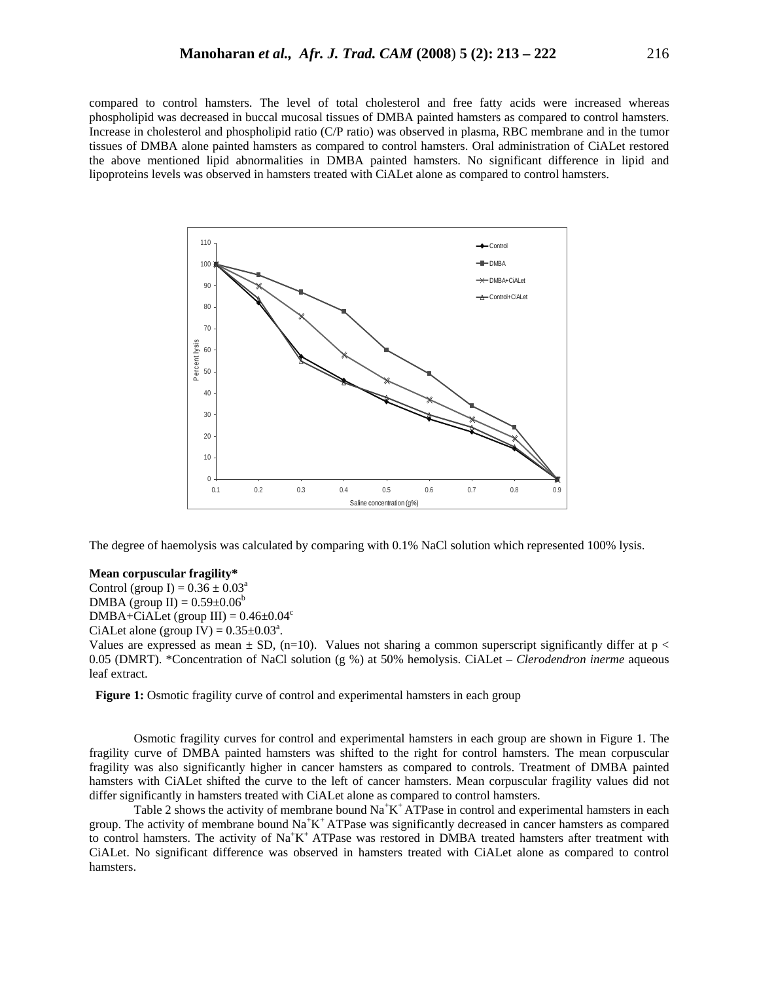compared to control hamsters. The level of total cholesterol and free fatty acids were increased whereas phospholipid was decreased in buccal mucosal tissues of DMBA painted hamsters as compared to control hamsters. Increase in cholesterol and phospholipid ratio (C/P ratio) was observed in plasma, RBC membrane and in the tumor tissues of DMBA alone painted hamsters as compared to control hamsters. Oral administration of CiALet restored the above mentioned lipid abnormalities in DMBA painted hamsters. No significant difference in lipid and lipoproteins levels was observed in hamsters treated with CiALet alone as compared to control hamsters.



The degree of haemolysis was calculated by comparing with 0.1% NaCl solution which represented 100% lysis.

#### **Mean corpuscular fragility\***

Control (group I) =  $0.36 \pm 0.03^{\circ}$ DMBA (group II) =  $0.59 \pm 0.06^b$ DMBA+CiALet (group III) =  $0.46\pm0.04^{\circ}$ CiALet alone (group  $\text{IV}$ ) = 0.35±0.03<sup>a</sup>.

Values are expressed as mean  $\pm$  SD, (n=10). Values not sharing a common superscript significantly differ at p  $\lt$ 0.05 (DMRT). \*Concentration of NaCl solution (g %) at 50% hemolysis. CiALet – *Clerodendron inerme* aqueous leaf extract.

Figure 1: Osmotic fragility curve of control and experimental hamsters in each group

Osmotic fragility curves for control and experimental hamsters in each group are shown in Figure 1. The fragility curve of DMBA painted hamsters was shifted to the right for control hamsters. The mean corpuscular fragility was also significantly higher in cancer hamsters as compared to controls. Treatment of DMBA painted hamsters with CiALet shifted the curve to the left of cancer hamsters. Mean corpuscular fragility values did not differ significantly in hamsters treated with CiALet alone as compared to control hamsters.

Table 2 shows the activity of membrane bound  $\text{Na}^+\text{K}^+$  ATPase in control and experimental hamsters in each group. The activity of membrane bound  $\text{Na}^+\text{K}^+$  ATPase was significantly decreased in cancer hamsters as compared to control hamsters. The activity of  $Na<sup>+</sup>K<sup>+</sup>ATP$ ase was restored in DMBA treated hamsters after treatment with CiALet. No significant difference was observed in hamsters treated with CiALet alone as compared to control hamsters.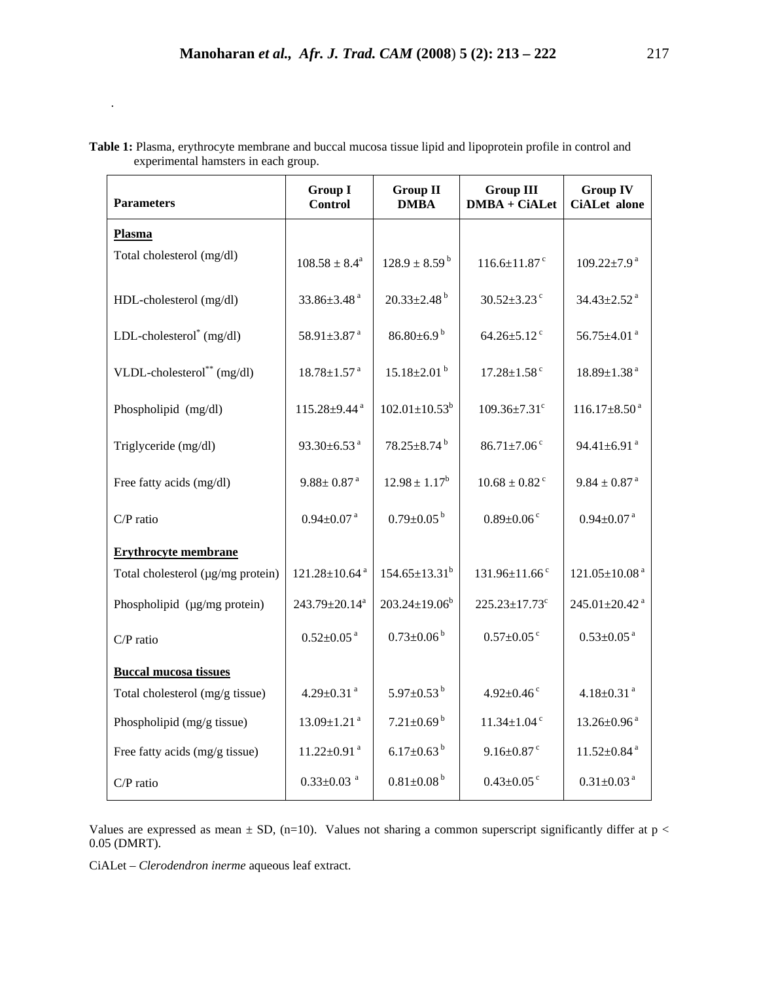| <b>Parameters</b>                      | <b>Group I</b><br><b>Control</b> | <b>Group II</b><br><b>DMBA</b> | <b>Group III</b><br><b>DMBA + CiALet</b> | <b>Group IV</b><br><b>CiALet</b> alone |
|----------------------------------------|----------------------------------|--------------------------------|------------------------------------------|----------------------------------------|
| <b>Plasma</b>                          |                                  |                                |                                          |                                        |
| Total cholesterol (mg/dl)              | $108.58 \pm 8.4^a$               | $128.9 \pm 8.59^{\mathrm{b}}$  | $116.6 \pm 11.87$ <sup>c</sup>           | $109.22 \pm 7.9$ <sup>a</sup>          |
| HDL-cholesterol (mg/dl)                | 33.86 $\pm$ 3.48 <sup>a</sup>    | $20.33 \pm 2.48$ <sup>b</sup>  | $30.52 \pm 3.23$ <sup>c</sup>            | $34.43 \pm 2.52$ <sup>a</sup>          |
| $LDL$ -cholesterol $*$ (mg/dl)         | 58.91 $\pm$ 3.87 $^{\rm a}$      | $86.80{\pm}6.9^{b}$            | $64.26 \pm 5.12$ <sup>c</sup>            | 56.75 $\pm$ 4.01 $^{\rm a}$            |
| VLDL-cholesterol <sup>**</sup> (mg/dl) | $18.78 \pm 1.57$ <sup>a</sup>    | $15.18 \pm 2.01$ <sup>b</sup>  | $17.28 \pm 1.58$ <sup>c</sup>            | $18.89 \pm 1.38$ <sup>a</sup>          |
| Phospholipid (mg/dl)                   | $115.28 \pm 9.44$ <sup>a</sup>   | $102.01 \pm 10.53^b$           | $109.36 \pm 7.31$ <sup>c</sup>           | $116.17 \pm 8.50$ <sup>a</sup>         |
| Triglyceride (mg/dl)                   | $93.30 \pm 6.53$ <sup>a</sup>    | $78.25 \pm 8.74^{\text{b}}$    | $86.71 \pm 7.06$ <sup>c</sup>            | 94.41±6.91 $a$                         |
| Free fatty acids (mg/dl)               | $9.88\pm0.87$ $^{\rm a}$         | $12.98 \pm 1.17^b$             | $10.68 \pm 0.82$ <sup>c</sup>            | $9.84\pm0.87$ $^{\rm a}$               |
| $C/P$ ratio                            | $0.94 \pm 0.07$ $^{\rm a}$       | $0.79 \pm 0.05^{b}$            | $0.89 \pm 0.06$ <sup>c</sup>             | $0.94 \pm 0.07$ <sup>a</sup>           |
| <b>Erythrocyte membrane</b>            |                                  |                                |                                          |                                        |
| Total cholesterol (µg/mg protein)      | $121.28 \pm 10.64$ <sup>a</sup>  | $154.65 \pm 13.31^b$           | $131.96 \pm 11.66$ <sup>c</sup>          | $121.05 \pm 10.08$ <sup>a</sup>        |
| Phospholipid (µg/mg protein)           | 243.79±20.14 <sup>a</sup>        | $203.24 \pm 19.06^b$           | $225.23 \pm 17.73$ <sup>c</sup>          | 245.01 $\pm$ 20.42 <sup>a</sup>        |
| $C/P$ ratio                            | $0.52 \pm 0.05$ <sup>a</sup>     | $0.73 \pm 0.06^{\mathrm{b}}$   | $0.57 \pm 0.05$ <sup>c</sup>             | $0.53 \pm 0.05$ <sup>a</sup>           |
| <b>Buccal mucosa tissues</b>           |                                  |                                |                                          |                                        |
| Total cholesterol (mg/g tissue)        | 4.29 $\pm$ 0.31 $^{\rm a}$       | $5.97 \pm 0.53^{\text{b}}$     | $4.92 \pm 0.46$ <sup>c</sup>             | $4.18 \pm 0.31$ <sup>a</sup>           |
| Phospholipid (mg/g tissue)             | $13.09 \pm 1.21$ <sup>a</sup>    | $7.21 \pm 0.69^{\text{ b}}$    | $11.34 \pm 1.04$ <sup>c</sup>            | $13.26 \pm 0.96$ <sup>a</sup>          |
| Free fatty acids (mg/g tissue)         | $11.22 \pm 0.91$ <sup>a</sup>    | $6.17 \pm 0.63^{b}$            | $9.16 \pm 0.87$ <sup>c</sup>             | $11.52 \pm 0.84$ <sup>a</sup>          |
| $C/P$ ratio                            | $0.33 \pm 0.03$ <sup>a</sup>     | $0.81 \pm 0.08^{\text{ b}}$    | $0.43 \pm 0.05$ <sup>c</sup>             | $0.31 \pm 0.03$ <sup>a</sup>           |

**Table 1:** Plasma, erythrocyte membrane and buccal mucosa tissue lipid and lipoprotein profile in control and experimental hamsters in each group.

.

Values are expressed as mean  $\pm$  SD, (n=10). Values not sharing a common superscript significantly differ at p < 0.05 (DMRT).

CiALet – *Clerodendron inerme* aqueous leaf extract.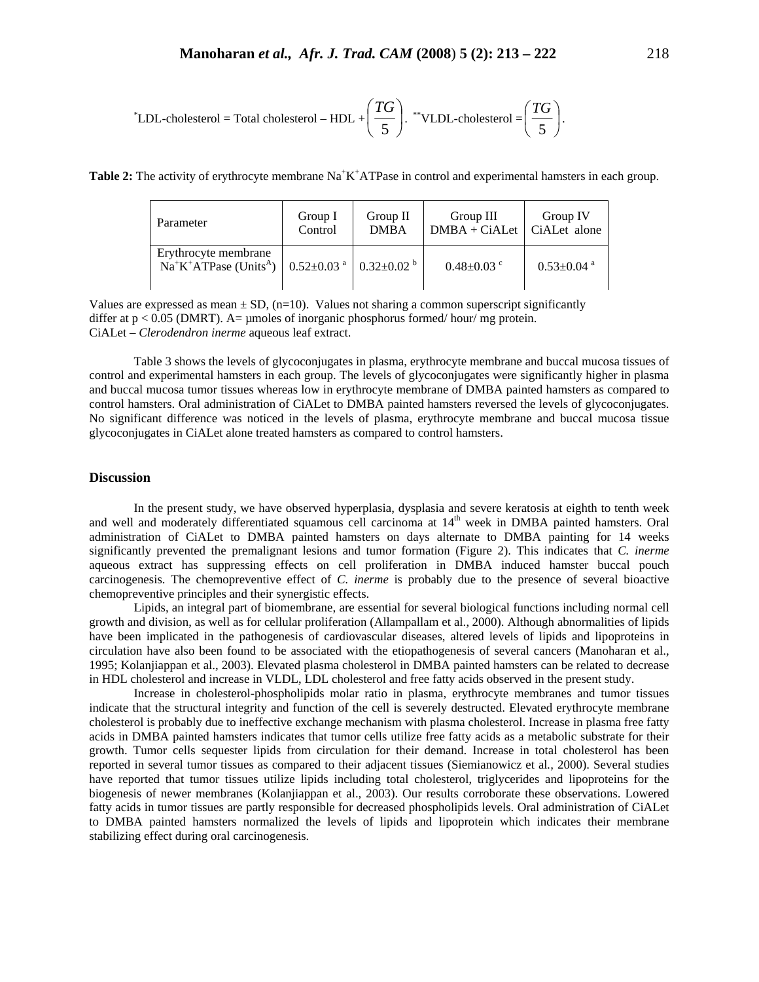<sup>\*</sup>LDL-cholesterol = Total cholesterol – HDL + 
$$
\left(\frac{TG}{5}\right)
$$
. <sup>\*\*</sup>VLDL-cholesterol =  $\left(\frac{TG}{5}\right)$ .

Table 2: The activity of erythrocyte membrane Na<sup>+</sup>K<sup>+</sup>ATPase in control and experimental hamsters in each group.

| Parameter                                                   | Group I | Group II                                               | Group III         | Group IV                     |
|-------------------------------------------------------------|---------|--------------------------------------------------------|-------------------|------------------------------|
|                                                             | Control | <b>DMBA</b>                                            | $DMBA + CIALet$   | CiALet alone                 |
| Erythrocyte membrane<br>$Na+K+ATPase$ (Units <sup>A</sup> ) |         | $0.52\pm0.03$ <sup>a</sup> 0.32 $\pm0.02$ <sup>b</sup> | $0.48 \pm 0.03$ ° | $0.53 \pm 0.04$ <sup>a</sup> |

Values are expressed as mean  $\pm$  SD, (n=10). Values not sharing a common superscript significantly differ at  $p < 0.05$  (DMRT). A= µmoles of inorganic phosphorus formed/ hour/ mg protein. CiALet – *Clerodendron inerme* aqueous leaf extract.

 Table 3 shows the levels of glycoconjugates in plasma, erythrocyte membrane and buccal mucosa tissues of control and experimental hamsters in each group. The levels of glycoconjugates were significantly higher in plasma and buccal mucosa tumor tissues whereas low in erythrocyte membrane of DMBA painted hamsters as compared to control hamsters. Oral administration of CiALet to DMBA painted hamsters reversed the levels of glycoconjugates. No significant difference was noticed in the levels of plasma, erythrocyte membrane and buccal mucosa tissue glycoconjugates in CiALet alone treated hamsters as compared to control hamsters.

## **Discussion**

In the present study, we have observed hyperplasia, dysplasia and severe keratosis at eighth to tenth week and well and moderately differentiated squamous cell carcinoma at 14<sup>th</sup> week in DMBA painted hamsters. Oral administration of CiALet to DMBA painted hamsters on days alternate to DMBA painting for 14 weeks significantly prevented the premalignant lesions and tumor formation (Figure 2). This indicates that *C. inerme* aqueous extract has suppressing effects on cell proliferation in DMBA induced hamster buccal pouch carcinogenesis. The chemopreventive effect of *C. inerme* is probably due to the presence of several bioactive chemopreventive principles and their synergistic effects.

Lipids, an integral part of biomembrane, are essential for several biological functions including normal cell growth and division, as well as for cellular proliferation (Allampallam et al., 2000). Although abnormalities of lipids have been implicated in the pathogenesis of cardiovascular diseases, altered levels of lipids and lipoproteins in circulation have also been found to be associated with the etiopathogenesis of several cancers (Manoharan et al.*,*  1995; Kolanjiappan et al., 2003). Elevated plasma cholesterol in DMBA painted hamsters can be related to decrease in HDL cholesterol and increase in VLDL, LDL cholesterol and free fatty acids observed in the present study.

Increase in cholesterol-phospholipids molar ratio in plasma, erythrocyte membranes and tumor tissues indicate that the structural integrity and function of the cell is severely destructed. Elevated erythrocyte membrane cholesterol is probably due to ineffective exchange mechanism with plasma cholesterol. Increase in plasma free fatty acids in DMBA painted hamsters indicates that tumor cells utilize free fatty acids as a metabolic substrate for their growth. Tumor cells sequester lipids from circulation for their demand. Increase in total cholesterol has been reported in several tumor tissues as compared to their adjacent tissues (Siemianowicz et al*.,* 2000). Several studies have reported that tumor tissues utilize lipids including total cholesterol, triglycerides and lipoproteins for the biogenesis of newer membranes (Kolanjiappan et al.*,* 2003). Our results corroborate these observations. Lowered fatty acids in tumor tissues are partly responsible for decreased phospholipids levels. Oral administration of CiALet to DMBA painted hamsters normalized the levels of lipids and lipoprotein which indicates their membrane stabilizing effect during oral carcinogenesis.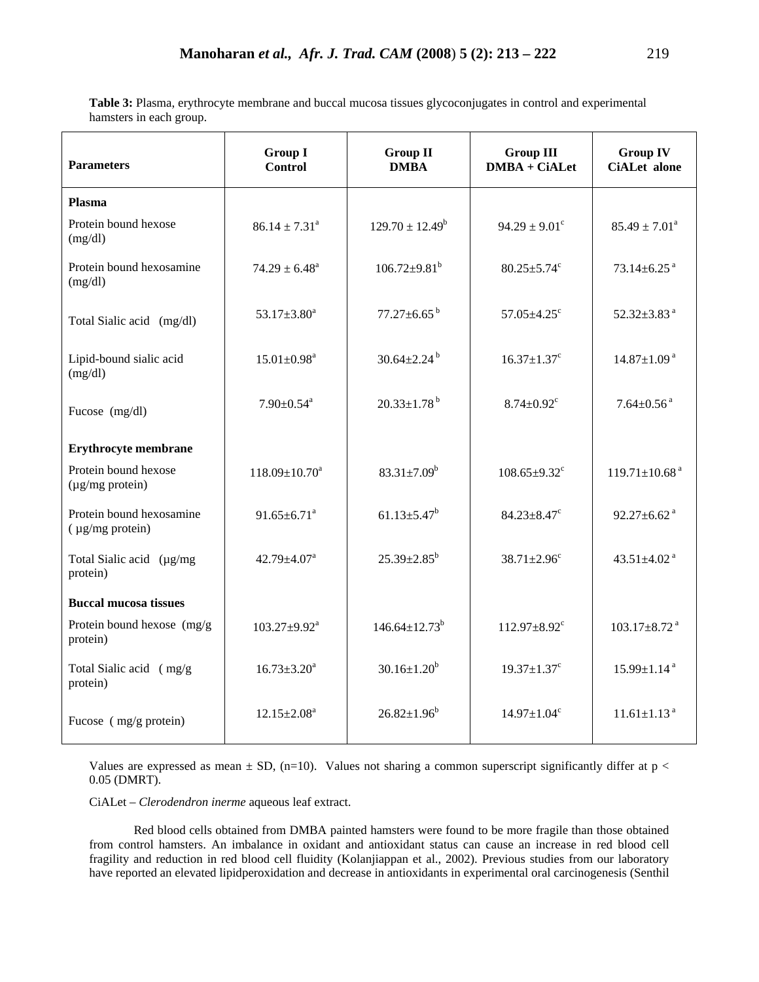| <b>Parameters</b>                           | <b>Group I</b><br><b>Control</b> | <b>Group II</b><br><b>DMBA</b>  | <b>Group III</b><br><b>DMBA</b> + CiALet | <b>Group IV</b><br><b>CiALet</b> alone |
|---------------------------------------------|----------------------------------|---------------------------------|------------------------------------------|----------------------------------------|
| <b>Plasma</b>                               |                                  |                                 |                                          |                                        |
| Protein bound hexose<br>(mg/dl)             | $86.14 \pm 7.31^a$               | $129.70 \pm 12.49^b$            | $94.29 \pm 9.01^{\circ}$                 | $85.49 \pm 7.01^a$                     |
| Protein bound hexosamine<br>(mg/dl)         | $74.29 \pm 6.48^a$               | $106.72{\pm}9.81^b$             | $80.25 \pm 5.74$ <sup>c</sup>            | $73.14 \pm 6.25$ <sup>a</sup>          |
| Total Sialic acid (mg/dl)                   | $53.17 \pm 3.80^a$               | $77.27 \pm 6.65^{\mathrm{b}}$   | $57.05 \pm 4.25$ <sup>c</sup>            | 52.32 $\pm$ 3.83 $^{a}$                |
| Lipid-bound sialic acid<br>(mg/dl)          | $15.01 \pm 0.98$ <sup>a</sup>    | $30.64 \pm 2.24$ <sup>b</sup>   | $16.37 \pm 1.37$ <sup>c</sup>            | $14.87 \pm 1.09$ <sup>a</sup>          |
| Fucose (mg/dl)                              | $7.90 \pm 0.54$ <sup>a</sup>     | $20.33 \pm 1.78$ <sup>b</sup>   | $8.74 \pm 0.92$ <sup>c</sup>             | $7.64 \pm 0.56$ <sup>a</sup>           |
| <b>Erythrocyte membrane</b>                 |                                  |                                 |                                          |                                        |
| Protein bound hexose<br>(µg/mg protein)     | $118.09 \pm 10.70^a$             | $83.31 \pm 7.09^b$              | $108.65 \pm 9.32$ <sup>c</sup>           | $119.71 \pm 10.68$ <sup>a</sup>        |
| Protein bound hexosamine<br>(µg/mg protein) | $91.65 \pm 6.71$ <sup>a</sup>    | $61.13 \pm 5.47$ <sup>b</sup>   | $84.23 \pm 8.47$ °                       | $92.27 \pm 6.62$ <sup>a</sup>          |
| Total Sialic acid (µg/mg<br>protein)        | $42.79 \pm 4.07^{\mathrm{a}}$    | $25.39 \pm 2.85^b$              | $38.71 \pm 2.96$ <sup>c</sup>            | 43.51 $\pm$ 4.02 <sup>a</sup>          |
| <b>Buccal mucosa tissues</b>                |                                  |                                 |                                          |                                        |
| Protein bound hexose (mg/g)<br>protein)     | $103.27 \pm 9.92^a$              | $146.64 \pm 12.73$ <sup>b</sup> | $112.97 \pm 8.92$ <sup>c</sup>           | $103.17 \pm 8.72$ <sup>a</sup>         |
| Total Sialic acid (mg/g)<br>protein)        | $16.73 \pm 3.20^a$               | $30.16 \pm 1.20^b$              | $19.37 \pm 1.37$ <sup>c</sup>            | $15.99 \pm 1.14$ <sup>a</sup>          |
| Fucose (mg/g protein)                       | $12.15 \pm 2.08^a$               | $26.82{\pm}1.96^b$              | $14.97 \pm 1.04$ <sup>c</sup>            | $11.61 \pm 1.13$ <sup>a</sup>          |

**Table 3:** Plasma, erythrocyte membrane and buccal mucosa tissues glycoconjugates in control and experimental hamsters in each group.

Values are expressed as mean  $\pm$  SD, (n=10). Values not sharing a common superscript significantly differ at p < 0.05 (DMRT).

CiALet – *Clerodendron inerme* aqueous leaf extract.

Red blood cells obtained from DMBA painted hamsters were found to be more fragile than those obtained from control hamsters. An imbalance in oxidant and antioxidant status can cause an increase in red blood cell fragility and reduction in red blood cell fluidity (Kolanjiappan et al., 2002). Previous studies from our laboratory have reported an elevated lipidperoxidation and decrease in antioxidants in experimental oral carcinogenesis (Senthil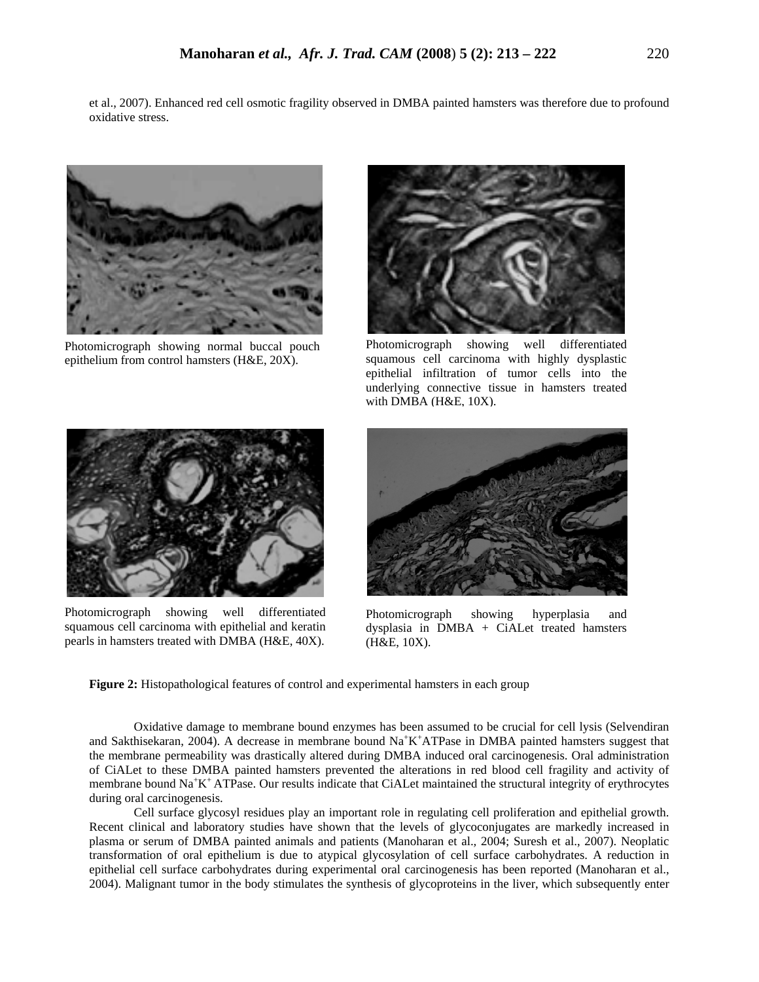et al., 2007). Enhanced red cell osmotic fragility observed in DMBA painted hamsters was therefore due to profound oxidative stress.



Photomicrograph showing normal buccal pouch epithelium from control hamsters (H&E, 20X).



Photomicrograph showing well differentiated squamous cell carcinoma with highly dysplastic epithelial infiltration of tumor cells into the underlying connective tissue in hamsters treated with DMBA (H&E, 10X).



Photomicrograph showing well differentiated squamous cell carcinoma with epithelial and keratin pearls in hamsters treated with DMBA (H&E, 40X).



Photomicrograph showing hyperplasia and dysplasia in DMBA + CiALet treated hamsters (H&E, 10X).

**Figure 2:** Histopathological features of control and experimental hamsters in each group

Oxidative damage to membrane bound enzymes has been assumed to be crucial for cell lysis (Selvendiran and Sakthisekaran, 2004). A decrease in membrane bound Na<sup>+</sup>K<sup>+</sup>ATPase in DMBA painted hamsters suggest that the membrane permeability was drastically altered during DMBA induced oral carcinogenesis. Oral administration of CiALet to these DMBA painted hamsters prevented the alterations in red blood cell fragility and activity of membrane bound Na<sup>+</sup>K<sup>+</sup> ATPase. Our results indicate that CiALet maintained the structural integrity of erythrocytes during oral carcinogenesis.

Cell surface glycosyl residues play an important role in regulating cell proliferation and epithelial growth. Recent clinical and laboratory studies have shown that the levels of glycoconjugates are markedly increased in plasma or serum of DMBA painted animals and patients (Manoharan et al.*,* 2004; Suresh et al., 2007). Neoplatic transformation of oral epithelium is due to atypical glycosylation of cell surface carbohydrates. A reduction in epithelial cell surface carbohydrates during experimental oral carcinogenesis has been reported (Manoharan et al., 2004). Malignant tumor in the body stimulates the synthesis of glycoproteins in the liver, which subsequently enter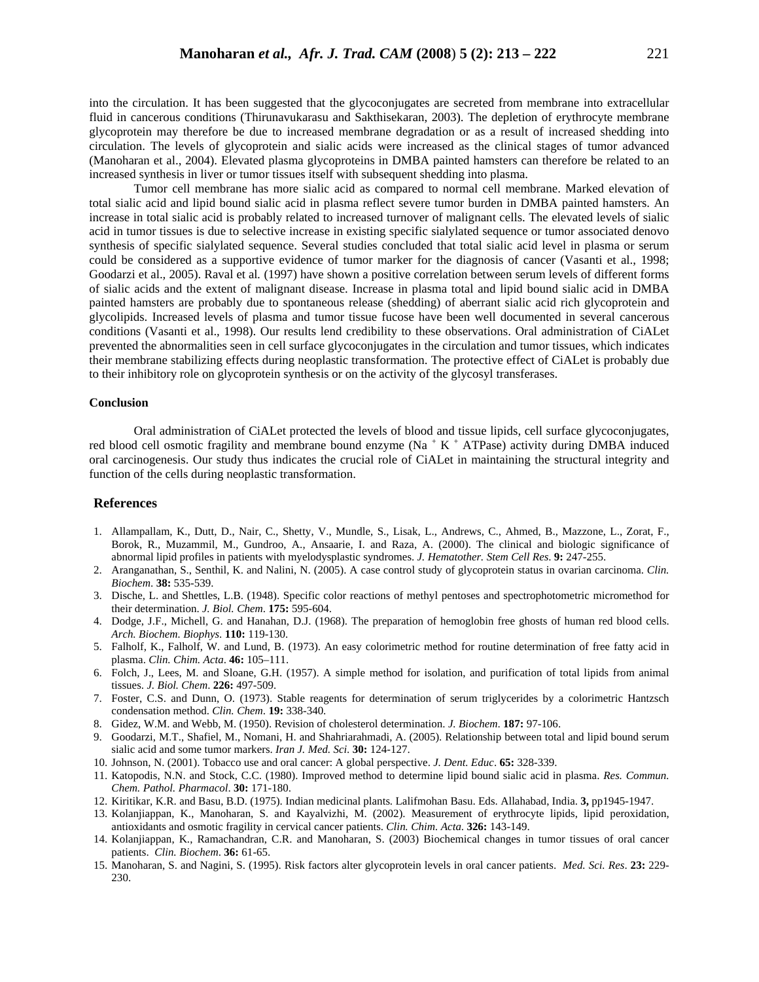into the circulation. It has been suggested that the glycoconjugates are secreted from membrane into extracellular fluid in cancerous conditions (Thirunavukarasu and Sakthisekaran, 2003). The depletion of erythrocyte membrane glycoprotein may therefore be due to increased membrane degradation or as a result of increased shedding into circulation. The levels of glycoprotein and sialic acids were increased as the clinical stages of tumor advanced (Manoharan et al., 2004). Elevated plasma glycoproteins in DMBA painted hamsters can therefore be related to an increased synthesis in liver or tumor tissues itself with subsequent shedding into plasma.

Tumor cell membrane has more sialic acid as compared to normal cell membrane. Marked elevation of total sialic acid and lipid bound sialic acid in plasma reflect severe tumor burden in DMBA painted hamsters. An increase in total sialic acid is probably related to increased turnover of malignant cells. The elevated levels of sialic acid in tumor tissues is due to selective increase in existing specific sialylated sequence or tumor associated denovo synthesis of specific sialylated sequence. Several studies concluded that total sialic acid level in plasma or serum could be considered as a supportive evidence of tumor marker for the diagnosis of cancer (Vasanti et al., 1998; Goodarzi et al.*,* 2005). Raval et al*.* (1997) have shown a positive correlation between serum levels of different forms of sialic acids and the extent of malignant disease. Increase in plasma total and lipid bound sialic acid in DMBA painted hamsters are probably due to spontaneous release (shedding) of aberrant sialic acid rich glycoprotein and glycolipids. Increased levels of plasma and tumor tissue fucose have been well documented in several cancerous conditions (Vasanti et al.*,* 1998). Our results lend credibility to these observations. Oral administration of CiALet prevented the abnormalities seen in cell surface glycoconjugates in the circulation and tumor tissues, which indicates their membrane stabilizing effects during neoplastic transformation. The protective effect of CiALet is probably due to their inhibitory role on glycoprotein synthesis or on the activity of the glycosyl transferases.

### **Conclusion**

Oral administration of CiALet protected the levels of blood and tissue lipids, cell surface glycoconjugates, red blood cell osmotic fragility and membrane bound enzyme (Na  $+ K + ATPase$ ) activity during DMBA induced oral carcinogenesis. Our study thus indicates the crucial role of CiALet in maintaining the structural integrity and function of the cells during neoplastic transformation.

#### **References**

- 1. Allampallam, K., Dutt, D., Nair, C., Shetty, V., Mundle, S., Lisak, L., Andrews, C., Ahmed, B., Mazzone, L., Zorat, F., Borok, R., Muzammil, M., Gundroo, A., Ansaarie, I. and Raza, A. (2000). The clinical and biologic significance of abnormal lipid profiles in patients with myelodysplastic syndromes. *J. Hematother. Stem Cell Res*. **9:** 247-255.
- 2. Aranganathan, S., Senthil, K. and Nalini, N. (2005). A case control study of glycoprotein status in ovarian carcinoma. *Clin. Biochem*. **38:** 535-539.
- 3. Dische, L. and Shettles, L.B. (1948). Specific color reactions of methyl pentoses and spectrophotometric micromethod for their determination. *J. Biol. Chem*. **175:** 595-604.
- 4. Dodge, J.F., Michell, G. and Hanahan, D.J. (1968). The preparation of hemoglobin free ghosts of human red blood cells. *Arch. Biochem. Biophys*. **110:** 119-130.
- 5. Falholf, K., Falholf, W. and Lund, B. (1973). An easy colorimetric method for routine determination of free fatty acid in plasma. *Clin. Chim. Acta*. **46:** 105–111.
- 6. Folch, J., Lees, M. and Sloane, G.H. (1957). A simple method for isolation, and purification of total lipids from animal tissues. *J. Biol. Chem*. **226:** 497-509.
- 7. Foster, C.S. and Dunn, O. (1973). Stable reagents for determination of serum triglycerides by a colorimetric Hantzsch condensation method. *Clin. Chem*. **19:** 338-340.
- 8. Gidez, W.M. and Webb, M. (1950). Revision of cholesterol determination. *J. Biochem*. **187:** 97-106.
- 9. Goodarzi, M.T., Shafiel, M., Nomani, H. and Shahriarahmadi, A. (2005). Relationship between total and lipid bound serum sialic acid and some tumor markers. *Iran J. Med. Sci*. **30:** 124-127.
- 10. Johnson, N. (2001). Tobacco use and oral cancer: A global perspective. *J. Dent. Educ*. **65:** 328-339.
- 11. Katopodis, N.N. and Stock, C.C. (1980). Improved method to determine lipid bound sialic acid in plasma. *Res. Commun. Chem. Pathol. Pharmacol*. **30:** 171-180.
- 12. Kiritikar, K.R. and Basu, B.D. (1975). Indian medicinal plants. Lalifmohan Basu. Eds. Allahabad, India. **3,** pp1945-1947.
- 13. Kolanjiappan, K., Manoharan, S. and Kayalvizhi, M. (2002). Measurement of erythrocyte lipids, lipid peroxidation, antioxidants and osmotic fragility in cervical cancer patients. *Clin. Chim. Acta*. **326:** 143-149.
- 14. Kolanjiappan, K., Ramachandran, C.R. and Manoharan, S. (2003) Biochemical changes in tumor tissues of oral cancer patients. *Clin. Biochem*. **36:** 61-65.
- 15. Manoharan, S. and Nagini, S. (1995). Risk factors alter glycoprotein levels in oral cancer patients. *Med. Sci. Res*. **23:** 229- 230.